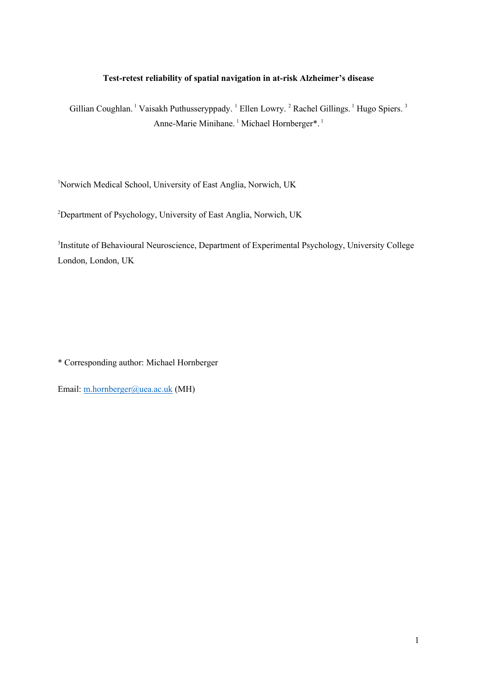## **Test-retest reliability of spatial navigation in at-risk Alzheimer's disease**

Gillian Coughlan. <sup>1</sup> Vaisakh Puthusseryppady. <sup>1</sup> Ellen Lowry. <sup>2</sup> Rachel Gillings. <sup>1</sup> Hugo Spiers. <sup>3</sup> Anne-Marie Minihane.<sup>1</sup> Michael Hornberger\*.<sup>1</sup>

<sup>1</sup>Norwich Medical School, University of East Anglia, Norwich, UK

<sup>2</sup>Department of Psychology, University of East Anglia, Norwich, UK

<sup>3</sup>Institute of Behavioural Neuroscience, Department of Experimental Psychology, University College London, London, UK

\* Corresponding author: Michael Hornberger

Email: [m.hornberger@uea.ac.uk](mailto:m.hornberger@uea.ac.uk) (MH)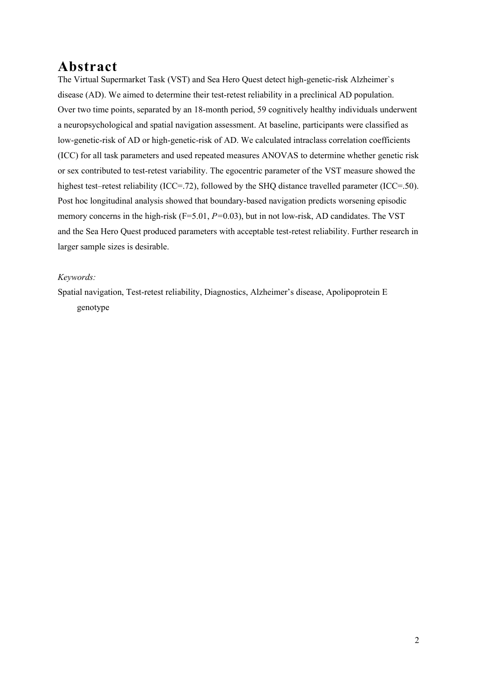# **Abstract**

The Virtual Supermarket Task (VST) and Sea Hero Quest detect high-genetic-risk Alzheimer`s disease (AD). We aimed to determine their test-retest reliability in a preclinical AD population. Over two time points, separated by an 18-month period, 59 cognitively healthy individuals underwent a neuropsychological and spatial navigation assessment. At baseline, participants were classified as low-genetic-risk of AD or high-genetic-risk of AD. We calculated intraclass correlation coefficients (ICC) for all task parameters and used repeated measures ANOVAS to determine whether genetic risk or sex contributed to test-retest variability. The egocentric parameter of the VST measure showed the highest test–retest reliability (ICC=.72), followed by the SHQ distance travelled parameter (ICC=.50). Post hoc longitudinal analysis showed that boundary-based navigation predicts worsening episodic memory concerns in the high-risk (F=5.01, *P=*0.03), but in not low-risk, AD candidates. The VST and the Sea Hero Quest produced parameters with acceptable test-retest reliability. Further research in larger sample sizes is desirable.

### *Keywords:*

Spatial navigation, Test-retest reliability, Diagnostics, Alzheimer's disease, Apolipoprotein E genotype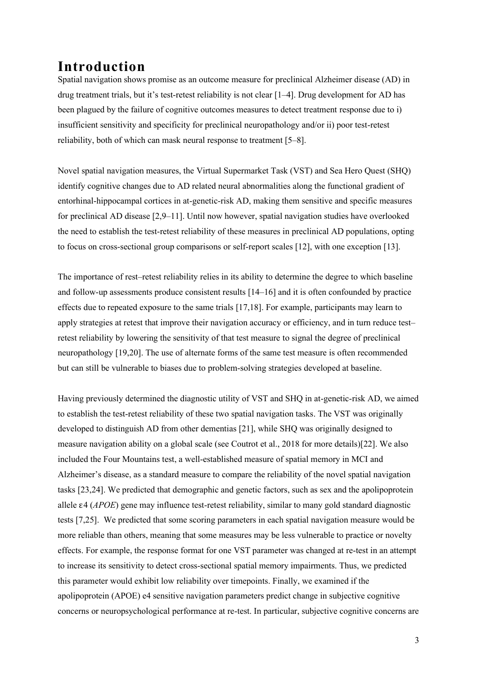# **Introduction**

Spatial navigation shows promise as an outcome measure for preclinical Alzheimer disease (AD) in drug treatment trials, but it's test-retest reliability is not clear [1–4]. Drug development for AD has been plagued by the failure of cognitive outcomes measures to detect treatment response due to i) insufficient sensitivity and specificity for preclinical neuropathology and/or ii) poor test-retest reliability, both of which can mask neural response to treatment [5–8].

Novel spatial navigation measures, the Virtual Supermarket Task (VST) and Sea Hero Quest (SHQ) identify cognitive changes due to AD related neural abnormalities along the functional gradient of entorhinal-hippocampal cortices in at-genetic-risk AD, making them sensitive and specific measures for preclinical AD disease [2,9–11]. Until now however, spatial navigation studies have overlooked the need to establish the test-retest reliability of these measures in preclinical AD populations, opting to focus on cross-sectional group comparisons or self-report scales [12], with one exception [13].

The importance of rest–retest reliability relies in its ability to determine the degree to which baseline and follow-up assessments produce consistent results [14–16] and it is often confounded by practice effects due to repeated exposure to the same trials [17,18]. For example, participants may learn to apply strategies at retest that improve their navigation accuracy or efficiency, and in turn reduce test– retest reliability by lowering the sensitivity of that test measure to signal the degree of preclinical neuropathology [19,20]. The use of alternate forms of the same test measure is often recommended but can still be vulnerable to biases due to problem-solving strategies developed at baseline.

Having previously determined the diagnostic utility of VST and SHQ in at-genetic-risk AD, we aimed to establish the test-retest reliability of these two spatial navigation tasks. The VST was originally developed to distinguish AD from other dementias [21], while SHQ was originally designed to measure navigation ability on a global scale (see Coutrot et al., 2018 for more details)[22]. We also included the Four Mountains test, a well-established measure of spatial memory in MCI and Alzheimer's disease, as a standard measure to compare the reliability of the novel spatial navigation tasks [23,24]. We predicted that demographic and genetic factors, such as sex and the apolipoprotein allele ε4 (*APOE*) gene may influence test-retest reliability, similar to many gold standard diagnostic tests [7,25]. We predicted that some scoring parameters in each spatial navigation measure would be more reliable than others, meaning that some measures may be less vulnerable to practice or novelty effects. For example, the response format for one VST parameter was changed at re-test in an attempt to increase its sensitivity to detect cross-sectional spatial memory impairments. Thus, we predicted this parameter would exhibit low reliability over timepoints. Finally, we examined if the apolipoprotein (APOE) e4 sensitive navigation parameters predict change in subjective cognitive concerns or neuropsychological performance at re-test. In particular, subjective cognitive concerns are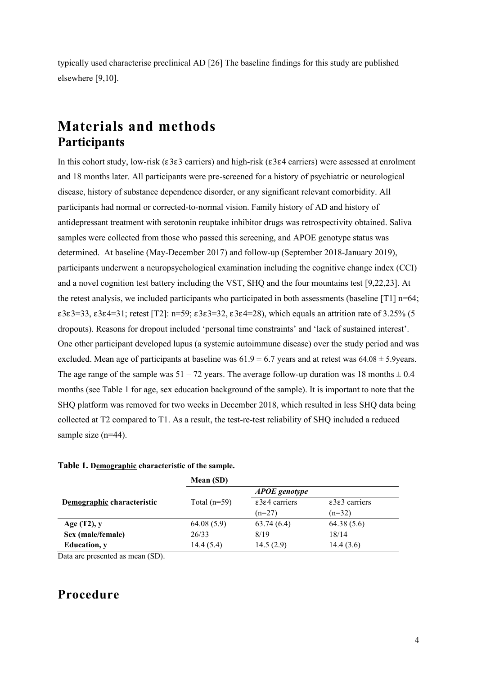typically used characterise preclinical AD [26] The baseline findings for this study are published elsewhere [9,10].

# **Materials and methods Participants**

In this cohort study, low-risk (ε3ε3 carriers) and high-risk (ε3ε4 carriers) were assessed at enrolment and 18 months later. All participants were pre-screened for a history of psychiatric or neurological disease, history of substance dependence disorder, or any significant relevant comorbidity. All participants had normal or corrected-to-normal vision. Family history of AD and history of antidepressant treatment with serotonin reuptake inhibitor drugs was retrospectivity obtained. Saliva samples were collected from those who passed this screening, and APOE genotype status was determined. At baseline (May-December 2017) and follow-up (September 2018-January 2019), participants underwent a neuropsychological examination including the cognitive change index (CCI) and a novel cognition test battery including the VST, SHQ and the four mountains test [9,22,23]. At the retest analysis, we included participants who participated in both assessments (baseline  $[T1]$  n=64; ε3ε3=33, ε3ε4=31; retest [T2]: n=59; ε3ε3=32, ε3ε4=28), which equals an attrition rate of 3.25% (5 dropouts). Reasons for dropout included 'personal time constraints' and 'lack of sustained interest'. One other participant developed lupus (a systemic autoimmune disease) over the study period and was excluded. Mean age of participants at baseline was  $61.9 \pm 6.7$  years and at retest was  $64.08 \pm 5.9$ years. The age range of the sample was  $51 - 72$  years. The average follow-up duration was 18 months  $\pm 0.4$ months (see Table 1 for age, sex education background of the sample). It is important to note that the SHQ platform was removed for two weeks in December 2018, which resulted in less SHQ data being collected at T2 compared to T1. As a result, the test-re-test reliability of SHQ included a reduced sample size (n=44).

#### **Table 1. Demographic characteristic of the sample.**

|                            | Mean (SD)      |                                    |                                    |
|----------------------------|----------------|------------------------------------|------------------------------------|
|                            |                | <b>APOE</b> genotype               |                                    |
| Demographic characteristic | Total $(n=59)$ | $\epsilon$ 3 $\epsilon$ 4 carriers | $\epsilon$ 3 $\epsilon$ 3 carriers |
|                            |                | $(n=27)$                           | $(n=32)$                           |
| Age $(T2)$ , y             | 64.08(5.9)     | 63.74(6.4)                         | 64.38(5.6)                         |
| Sex (male/female)          | 26/33          | 8/19                               | 18/14                              |
| <b>Education</b> , y       | 14.4(5.4)      | 14.5(2.9)                          | 14.4(3.6)                          |

Data are presented as mean (SD).

## **Procedure**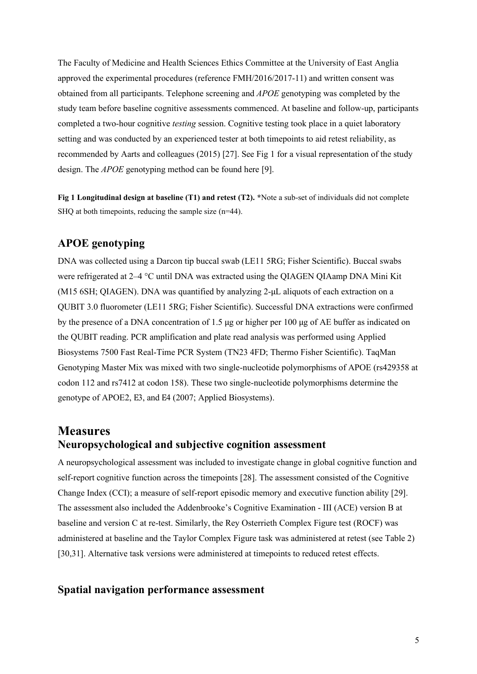The Faculty of Medicine and Health Sciences Ethics Committee at the University of East Anglia approved the experimental procedures (reference FMH/2016/2017-11) and written consent was obtained from all participants. Telephone screening and *APOE* genotyping was completed by the study team before baseline cognitive assessments commenced. At baseline and follow-up, participants completed a two-hour cognitive *testing* session. Cognitive testing took place in a quiet laboratory setting and was conducted by an experienced tester at both timepoints to aid retest reliability, as recommended by Aarts and colleagues (2015) [27]. See Fig 1 for a visual representation of the study design. The *APOE* genotyping method can be found here [9].

**Fig 1 Longitudinal design at baseline (T1) and retest (T2). \***Note a sub-set of individuals did not complete SHQ at both timepoints, reducing the sample size (n=44).

## **APOE genotyping**

DNA was collected using a Darcon tip buccal swab (LE11 5RG; Fisher Scientific). Buccal swabs were refrigerated at 2–4 °C until DNA was extracted using the QIAGEN QIAamp DNA Mini Kit (M15 6SH; QIAGEN). DNA was quantified by analyzing 2-μL aliquots of each extraction on a QUBIT 3.0 fluorometer (LE11 5RG; Fisher Scientific). Successful DNA extractions were confirmed by the presence of a DNA concentration of 1.5 μg or higher per 100 μg of AE buffer as indicated on the QUBIT reading. PCR amplification and plate read analysis was performed using Applied Biosystems 7500 Fast Real-Time PCR System (TN23 4FD; Thermo Fisher Scientific). TaqMan Genotyping Master Mix was mixed with two single-nucleotide polymorphisms of APOE (rs429358 at codon 112 and rs7412 at codon 158). These two single-nucleotide polymorphisms determine the genotype of APOE2, Ε3, and Ε4 (2007; Applied Biosystems).

## **Measures Neuropsychological and subjective cognition assessment**

A neuropsychological assessment was included to investigate change in global cognitive function and self-report cognitive function across the timepoints [28]. The assessment consisted of the Cognitive Change Index (CCI); a measure of self-report episodic memory and executive function ability [29]. The assessment also included the Addenbrooke's Cognitive Examination - III (ACE) version B at baseline and version C at re-test. Similarly, the Rey Osterrieth Complex Figure test (ROCF) was administered at baseline and the Taylor Complex Figure task was administered at retest (see Table 2) [30,31]. Alternative task versions were administered at timepoints to reduced retest effects.

#### **Spatial navigation performance assessment**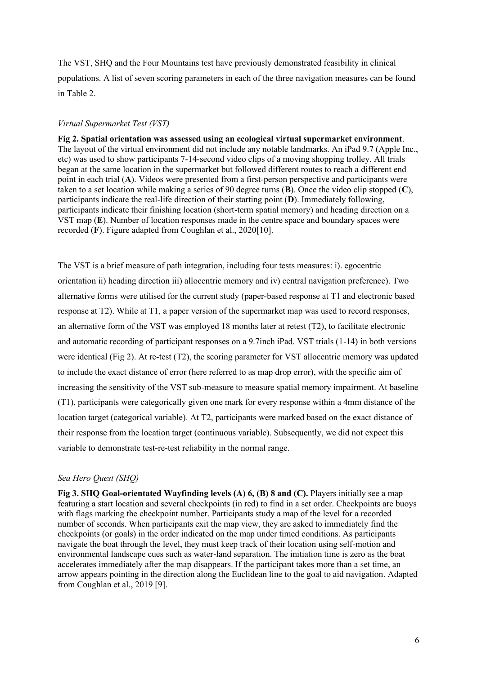The VST, SHQ and the Four Mountains test have previously demonstrated feasibility in clinical populations. A list of seven scoring parameters in each of the three navigation measures can be found in Table 2.

#### *Virtual Supermarket Test (VST)*

**Fig 2. Spatial orientation was assessed using an ecological virtual supermarket environment**. The layout of the virtual environment did not include any notable landmarks. An iPad 9.7 (Apple Inc., etc) was used to show participants 7-14-second video clips of a moving shopping trolley. All trials began at the same location in the supermarket but followed different routes to reach a different end point in each trial (**A**). Videos were presented from a first-person perspective and participants were taken to a set location while making a series of 90 degree turns (**B**). Once the video clip stopped (**C**), participants indicate the real-life direction of their starting point (**D**). Immediately following, participants indicate their finishing location (short-term spatial memory) and heading direction on a VST map (**E**). Number of location responses made in the centre space and boundary spaces were recorded (**F**). Figure adapted from Coughlan et al., 2020[10].

The VST is a brief measure of path integration, including four tests measures: i). egocentric orientation ii) heading direction iii) allocentric memory and iv) central navigation preference). Two alternative forms were utilised for the current study (paper-based response at T1 and electronic based response at T2). While at T1, a paper version of the supermarket map was used to record responses, an alternative form of the VST was employed 18 months later at retest (T2), to facilitate electronic and automatic recording of participant responses on a 9.7inch iPad. VST trials (1-14) in both versions were identical (Fig 2). At re-test (T2), the scoring parameter for VST allocentric memory was updated to include the exact distance of error (here referred to as map drop error), with the specific aim of increasing the sensitivity of the VST sub-measure to measure spatial memory impairment. At baseline (T1), participants were categorically given one mark for every response within a 4mm distance of the location target (categorical variable). At T2, participants were marked based on the exact distance of their response from the location target (continuous variable). Subsequently, we did not expect this variable to demonstrate test-re-test reliability in the normal range.

#### *Sea Hero Quest (SHQ)*

**Fig 3. SHQ Goal-orientated Wayfinding levels (A) 6, (B) 8 and (C).** Players initially see a map featuring a start location and several checkpoints (in red) to find in a set order. Checkpoints are buoys with flags marking the checkpoint number. Participants study a map of the level for a recorded number of seconds. When participants exit the map view, they are asked to immediately find the checkpoints (or goals) in the order indicated on the map under timed conditions. As participants navigate the boat through the level, they must keep track of their location using self-motion and environmental landscape cues such as water-land separation. The initiation time is zero as the boat accelerates immediately after the map disappears. If the participant takes more than a set time, an arrow appears pointing in the direction along the Euclidean line to the goal to aid navigation. Adapted from Coughlan et al., 2019 [9].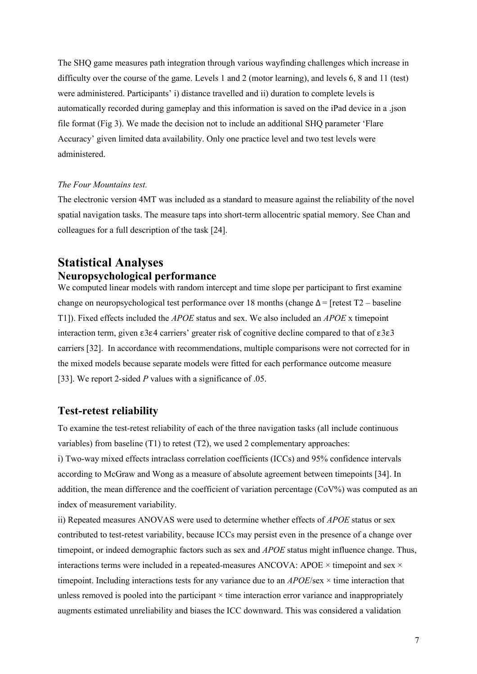The SHQ game measures path integration through various wayfinding challenges which increase in difficulty over the course of the game. Levels 1 and 2 (motor learning), and levels 6, 8 and 11 (test) were administered. Participants' i) distance travelled and ii) duration to complete levels is automatically recorded during gameplay and this information is saved on the iPad device in a .json file format (Fig 3). We made the decision not to include an additional SHQ parameter 'Flare Accuracy' given limited data availability. Only one practice level and two test levels were administered.

#### *The Four Mountains test.*

The electronic version 4MT was included as a standard to measure against the reliability of the novel spatial navigation tasks. The measure taps into short-term allocentric spatial memory. See Chan and colleagues for a full description of the task [24].

## **Statistical Analyses Neuropsychological performance**

We computed linear models with random intercept and time slope per participant to first examine change on neuropsychological test performance over 18 months (change  $\Delta =$  [retest T2 – baseline T1]). Fixed effects included the *APOE* status and sex. We also included an *APOE* x timepoint interaction term, given ε3ε4 carriers' greater risk of cognitive decline compared to that of ε3ε3 carriers [32]. In accordance with recommendations, multiple comparisons were not corrected for in the mixed models because separate models were fitted for each performance outcome measure [33]. We report 2-sided *P* values with a significance of .05.

### **Test-retest reliability**

To examine the test-retest reliability of each of the three navigation tasks (all include continuous variables) from baseline (T1) to retest (T2), we used 2 complementary approaches: i) Two-way mixed effects intraclass correlation coefficients (ICCs) and 95% confidence intervals according to McGraw and Wong as a measure of absolute agreement between timepoints [34]. In addition, the mean difference and the coefficient of variation percentage (CoV%) was computed as an index of measurement variability.

ii) Repeated measures ANOVAS were used to determine whether effects of *APOE* status or sex contributed to test-retest variability, because ICCs may persist even in the presence of a change over timepoint, or indeed demographic factors such as sex and *APOE* status might influence change. Thus, interactions terms were included in a repeated-measures ANCOVA: APOE  $\times$  timepoint and sex  $\times$ timepoint. Including interactions tests for any variance due to an *APOE*/sex × time interaction that unless removed is pooled into the participant  $\times$  time interaction error variance and inappropriately augments estimated unreliability and biases the ICC downward. This was considered a validation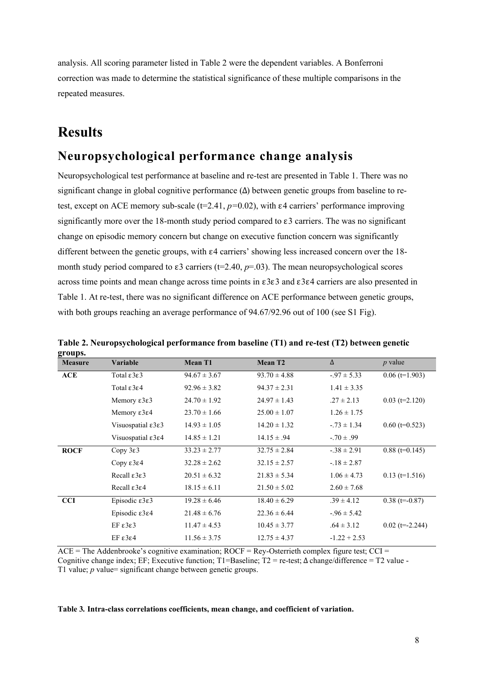analysis. All scoring parameter listed in Table 2 were the dependent variables. A Bonferroni correction was made to determine the statistical significance of these multiple comparisons in the repeated measures.

# **Results**

# **Neuropsychological performance change analysis**

Neuropsychological test performance at baseline and re-test are presented in Table 1. There was no significant change in global cognitive performance  $(\Delta)$  between genetic groups from baseline to retest, except on ACE memory sub-scale (t=2.41, *p=*0.02), with ε4 carriers' performance improving significantly more over the 18-month study period compared to  $\epsilon$ 3 carriers. The was no significant change on episodic memory concern but change on executive function concern was significantly different between the genetic groups, with  $\varepsilon$ 4 carriers' showing less increased concern over the 18month study period compared to  $\varepsilon$ 3 carriers (t=2.40,  $p$ =.03). The mean neuropsychological scores across time points and mean change across time points in ε3ε3 and ε3ε4 carriers are also presented in Table 1. At re-test, there was no significant difference on ACE performance between genetic groups, with both groups reaching an average performance of 94.67/92.96 out of 100 (see S1 Fig).

| gruups.        |                                        |                  |                  |                 |                   |
|----------------|----------------------------------------|------------------|------------------|-----------------|-------------------|
| <b>Measure</b> | <b>Variable</b>                        | <b>Mean T1</b>   | <b>Mean T2</b>   | $\Delta$        | $p$ value         |
| ACE            | Total $\epsilon$ 3 $\epsilon$ 3        | $94.67 \pm 3.67$ | $93.70 \pm 4.88$ | $-.97 \pm 5.33$ | $0.06$ (t=1.903)  |
|                | Total $\epsilon$ 3 $\epsilon$ 4        | $92.96 \pm 3.82$ | $94.37 \pm 2.31$ | $1.41 \pm 3.35$ |                   |
|                | Memory $\epsilon$ 3 $\epsilon$ 3       | $24.70 \pm 1.92$ | $24.97 \pm 1.43$ | $.27 \pm 2.13$  | $0.03$ (t=2.120)  |
|                | Memory $\epsilon$ 3 $\epsilon$ 4       | $23.70 \pm 1.66$ | $25.00 \pm 1.07$ | $1.26 \pm 1.75$ |                   |
|                | Visuospatial $\epsilon$ 3 $\epsilon$ 3 | $14.93 \pm 1.05$ | $14.20 \pm 1.32$ | $-.73 \pm 1.34$ | $0.60$ (t=0.523)  |
|                | Visuospatial $\epsilon$ 3 $\epsilon$ 4 | $14.85 \pm 1.21$ | $14.15 \pm .94$  | $-70 \pm .99$   |                   |
| <b>ROCF</b>    | Copy $3\varepsilon$ 3                  | $33.23 \pm 2.77$ | $32.75 \pm 2.84$ | $-38 \pm 2.91$  | $0.88$ (t=0.145)  |
|                | Copy ε3ε4                              | $32.28 \pm 2.62$ | $32.15 \pm 2.57$ | $-18 \pm 2.87$  |                   |
|                | Recall $\epsilon$ 3 $\epsilon$ 3       | $20.51 \pm 6.32$ | $21.83 \pm 5.34$ | $1.06 \pm 4.73$ | $0.13$ (t=1.516)  |
|                | Recall $\epsilon$ 3 $\epsilon$ 4       | $18.15 \pm 6.11$ | $21.50 \pm 5.02$ | $2.60 \pm 7.68$ |                   |
| <b>CCI</b>     | Episodic ε3ε3                          | $19.28 \pm 6.46$ | $18.40 \pm 6.29$ | $.39 \pm 4.12$  | $0.38$ (t=-0.87)  |
|                | Episodic $\epsilon$ 3 $\epsilon$ 4     | $21.48 \pm 6.76$ | $22.36 \pm 6.44$ | $-.96 \pm 5.42$ |                   |
|                | EF ε3ε3                                | $11.47 \pm 4.53$ | $10.45 \pm 3.77$ | $.64 \pm 3.12$  | $0.02$ (t=-2.244) |
|                | EF ε3ε4                                | $11.56 \pm 3.75$ | $12.75 \pm 4.37$ | $-1.22 + 2.53$  |                   |

**Table 2. Neuropsychological performance from baseline (T1) and re-test (T2) between genetic groups.**

 $\overline{ACE}$  = The Addenbrooke's cognitive examination;  $\overline{ROCF}$  = Rey-Osterrieth complex figure test;  $\overline{CCI}$  = Cognitive change index; EF; Executive function; T1=Baseline; T2 = re-test;  $\Delta$  change/difference = T2 value -T1 value; *p* value= significant change between genetic groups.

**Table 3***.* **Intra-class correlations coefficients, mean change, and coefficient of variation.**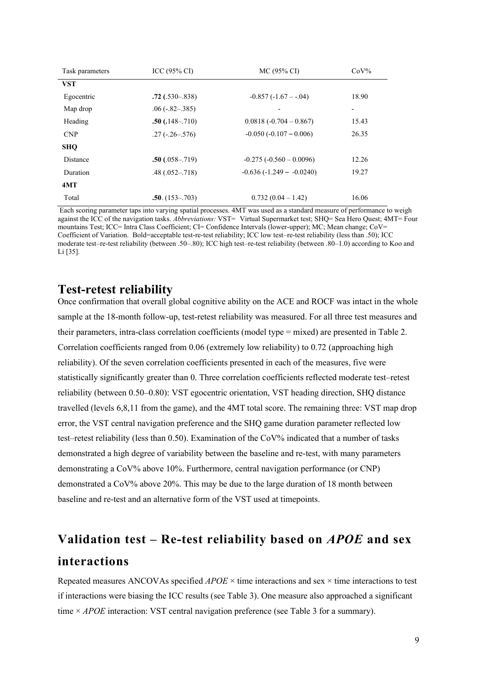| Task parameters | ICC $(95\% \text{ CI})$ | $MC (95\% CI)$             | $CoV\%$                      |
|-----------------|-------------------------|----------------------------|------------------------------|
| <b>VST</b>      |                         |                            |                              |
| Egocentric      | $.72$ (.530–.838)       | $-0.857(-1.67 - -0.04)$    | 18.90                        |
| Map drop        | $.06(-.82-.385)$        |                            | $\qquad \qquad \blacksquare$ |
| Heading         | $.50(.148-.710)$        | $0.0818(-0.704-0.867)$     | 15.43                        |
| <b>CNP</b>      | $.27(-.26-0.576)$       | $-0.050(-0.107 - 0.006)$   | 26.35                        |
| <b>SHO</b>      |                         |                            |                              |
| Distance        | $.50(.058-.719)$        | $-0.275(-0.560-0.0096)$    | 12.26                        |
| Duration        | $.48(.052-.718)$        | $-0.636(-1.249 - -0.0240)$ | 19.27                        |
| 4MT             |                         |                            |                              |
| Total           | $.50. (153 - .703)$     | $0.732(0.04-1.42)$         | 16.06                        |

Each scoring parameter taps into varying spatial processes. 4MT was used as a standard measure of performance to weigh against the ICC of the navigation tasks. *Abbreviations:* VST= Virtual Supermarket test; SHQ= Sea Hero Quest; 4MT= Four mountains Test; ICC= Intra Class Coefficient; CI= Confidence Intervals (lower-upper); MC; Mean change; CoV= Coefficient of Variation.Bold=acceptable test-re-test reliability; ICC low test–re-test reliability (less than .50); ICC moderate test–re-test reliability (between .50–.80); ICC high test–re-test reliability (between .80–1.0) according to Koo and Li [35].

## **Test-retest reliability**

Once confirmation that overall global cognitive ability on the ACE and ROCF was intact in the whole sample at the 18-month follow-up, test-retest reliability was measured. For all three test measures and their parameters, intra-class correlation coefficients (model type = mixed) are presented in Table 2. Correlation coefficients ranged from 0.06 (extremely low reliability) to 0.72 (approaching high reliability). Of the seven correlation coefficients presented in each of the measures, five were statistically significantly greater than 0. Three correlation coefficients reflected moderate test–retest reliability (between 0.50–0.80): VST egocentric orientation, VST heading direction, SHQ distance travelled (levels 6,8,11 from the game), and the 4MT total score. The remaining three: VST map drop error, the VST central navigation preference and the SHQ game duration parameter reflected low test–retest reliability (less than 0.50). Examination of the CoV% indicated that a number of tasks demonstrated a high degree of variability between the baseline and re-test, with many parameters demonstrating a CoV% above 10%. Furthermore, central navigation performance (or CNP) demonstrated a CoV% above 20%. This may be due to the large duration of 18 month between baseline and re-test and an alternative form of the VST used at timepoints.

# **Validation test – Re-test reliability based on** *APOE* **and sex interactions**

Repeated measures ANCOVAs specified *APOE* × time interactions and sex × time interactions to test if interactions were biasing the ICC results (see Table 3). One measure also approached a significant time × *APOE* interaction: VST central navigation preference (see Table 3 for a summary).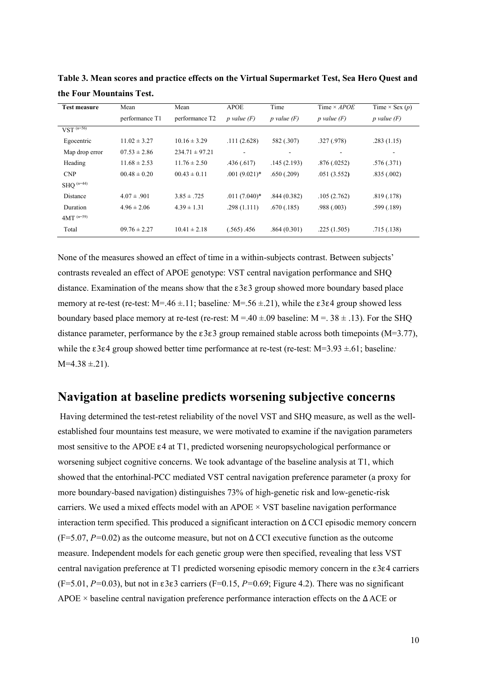| <b>Test measure</b>     | Mean             | Mean               | <b>APOE</b>              | Time            | Time $\times APOE$       | Time $\times$ Sex $(p)$ |
|-------------------------|------------------|--------------------|--------------------------|-----------------|--------------------------|-------------------------|
|                         | performance T1   | performance T2     | $p$ value $(F)$          | $p$ value $(F)$ | $p$ value $(F)$          | $p$ value $(F)$         |
| $VST^{(n=56)}$          |                  |                    |                          |                 |                          |                         |
| Egocentric              | $11.02 \pm 3.27$ | $10.16 \pm 3.29$   | .111(2.628)              | 582 (.307)      | .327(.978)               | .283(1.15)              |
| Map drop error          | $07.53 \pm 2.86$ | $234.71 \pm 97.21$ | $\overline{\phantom{a}}$ | -               | $\overline{\phantom{a}}$ | -                       |
| Heading                 | $11.68 \pm 2.53$ | $11.76 \pm 2.50$   | .436(.617)               | .145(2.193)     | .876(.0252)              | .576(.371)              |
| CNP                     | $00.48 \pm 0.20$ | $00.43 \pm 0.11$   | $.001(9.021)$ *          | .650(.209)      | .051(3.552)              | .835(.002)              |
| $SHO$ <sup>(n=44)</sup> |                  |                    |                          |                 |                          |                         |
| Distance                | $4.07 \pm .901$  | $3.85 \pm .725$    | $.011(7.040)*$           | .844(0.382)     | .105(2.762)              | .819(.178)              |
| Duration                | $4.96 \pm 2.06$  | $4.39 \pm 1.31$    | .298(1.111)              | .670(.185)      | .988(.003)               | .599(.189)              |
| $4MT^{(n=59)}$          |                  |                    |                          |                 |                          |                         |
| Total                   | $09.76 \pm 2.27$ | $10.41 \pm 2.18$   | (.565) .456              | .864(0.301)     | .225(1.505)              | .715(.138)              |

**Table 3. Mean scores and practice effects on the Virtual Supermarket Test, Sea Hero Quest and the Four Mountains Test.** 

None of the measures showed an effect of time in a within-subjects contrast. Between subjects' contrasts revealed an effect of APOE genotype: VST central navigation performance and SHQ distance. Examination of the means show that the ε3ε3 group showed more boundary based place memory at re-test (re-test: M=.46 ±.11; baseline*:* M=.56 ±.21), while the ε3ε4 group showed less boundary based place memory at re-test (re-rest:  $M = .40 \pm .09$  baseline:  $M = .38 \pm .13$ ). For the SHQ distance parameter, performance by the ε3ε3 group remained stable across both timepoints (M=3.77), while the ε3ε4 group showed better time performance at re-test (re-test: M=3.93 ±.61; baseline*:*   $M=4.38 \pm .21$ ).

## **Navigation at baseline predicts worsening subjective concerns**

Having determined the test-retest reliability of the novel VST and SHQ measure, as well as the wellestablished four mountains test measure, we were motivated to examine if the navigation parameters most sensitive to the APOE ε4 at T1, predicted worsening neuropsychological performance or worsening subject cognitive concerns. We took advantage of the baseline analysis at T1, which showed that the entorhinal-PCC mediated VST central navigation preference parameter (a proxy for more boundary-based navigation) distinguishes 73% of high-genetic risk and low-genetic-risk carriers. We used a mixed effects model with an APOE  $\times$  VST baseline navigation performance interaction term specified. This produced a significant interaction on  $\Delta$  CCI episodic memory concern (F=5.07, *P=*0.02) as the outcome measure, but not on ΔCCI executive function as the outcome measure. Independent models for each genetic group were then specified, revealing that less VST central navigation preference at T1 predicted worsening episodic memory concern in the ε3ε4 carriers (F=5.01, *P=*0.03), but not in ε3ε3 carriers (F=0.15, *P=*0.69; Figure 4.2). There was no significant APOE × baseline central navigation preference performance interaction effects on the Δ ACE or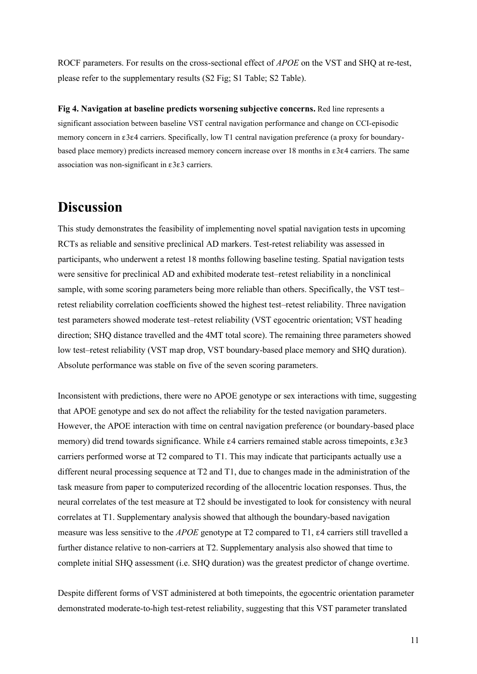ROCF parameters. For results on the cross-sectional effect of *APOE* on the VST and SHQ at re-test, please refer to the supplementary results (S2 Fig; S1 Table; S2 Table).

**Fig 4. Navigation at baseline predicts worsening subjective concerns.** Red line represents a significant association between baseline VST central navigation performance and change on CCI-episodic memory concern in ε3ε4 carriers. Specifically, low T1 central navigation preference (a proxy for boundarybased place memory) predicts increased memory concern increase over 18 months in ε3ε4 carriers. The same association was non-significant in ε3ε3 carriers.

# **Discussion**

This study demonstrates the feasibility of implementing novel spatial navigation tests in upcoming RCTs as reliable and sensitive preclinical AD markers. Test-retest reliability was assessed in participants, who underwent a retest 18 months following baseline testing. Spatial navigation tests were sensitive for preclinical AD and exhibited moderate test–retest reliability in a nonclinical sample, with some scoring parameters being more reliable than others. Specifically, the VST test– retest reliability correlation coefficients showed the highest test–retest reliability. Three navigation test parameters showed moderate test–retest reliability (VST egocentric orientation; VST heading direction; SHQ distance travelled and the 4MT total score). The remaining three parameters showed low test–retest reliability (VST map drop, VST boundary-based place memory and SHQ duration). Absolute performance was stable on five of the seven scoring parameters.

Inconsistent with predictions, there were no APOE genotype or sex interactions with time, suggesting that APOE genotype and sex do not affect the reliability for the tested navigation parameters. However, the APOE interaction with time on central navigation preference (or boundary-based place memory) did trend towards significance. While ε4 carriers remained stable across timepoints, ε3ε3 carriers performed worse at T2 compared to T1. This may indicate that participants actually use a different neural processing sequence at T2 and T1, due to changes made in the administration of the task measure from paper to computerized recording of the allocentric location responses. Thus, the neural correlates of the test measure at T2 should be investigated to look for consistency with neural correlates at T1. Supplementary analysis showed that although the boundary-based navigation measure was less sensitive to the *APOE* genotype at T2 compared to T1, ε4 carriers still travelled a further distance relative to non-carriers at T2. Supplementary analysis also showed that time to complete initial SHQ assessment (i.e. SHQ duration) was the greatest predictor of change overtime.

Despite different forms of VST administered at both timepoints, the egocentric orientation parameter demonstrated moderate-to-high test-retest reliability, suggesting that this VST parameter translated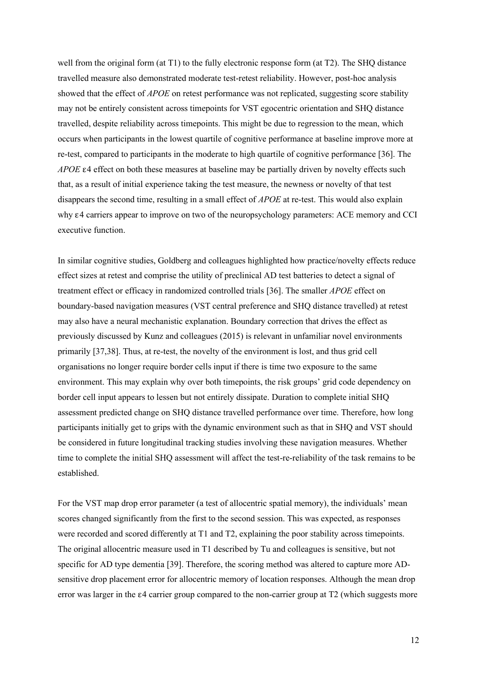well from the original form (at T1) to the fully electronic response form (at T2). The SHQ distance travelled measure also demonstrated moderate test-retest reliability. However, post-hoc analysis showed that the effect of *APOE* on retest performance was not replicated, suggesting score stability may not be entirely consistent across timepoints for VST egocentric orientation and SHQ distance travelled, despite reliability across timepoints. This might be due to regression to the mean, which occurs when participants in the lowest quartile of cognitive performance at baseline improve more at re-test, compared to participants in the moderate to high quartile of cognitive performance [36]. The *APOE* ε4 effect on both these measures at baseline may be partially driven by novelty effects such that, as a result of initial experience taking the test measure, the newness or novelty of that test disappears the second time, resulting in a small effect of *APOE* at re-test. This would also explain why ε4 carriers appear to improve on two of the neuropsychology parameters: ACE memory and CCI executive function.

In similar cognitive studies, Goldberg and colleagues highlighted how practice/novelty effects reduce effect sizes at retest and comprise the utility of preclinical AD test batteries to detect a signal of treatment effect or efficacy in randomized controlled trials [36]. The smaller *APOE* effect on boundary-based navigation measures (VST central preference and SHQ distance travelled) at retest may also have a neural mechanistic explanation. Boundary correction that drives the effect as previously discussed by Kunz and colleagues (2015) is relevant in unfamiliar novel environments primarily [37,38]. Thus, at re-test, the novelty of the environment is lost, and thus grid cell organisations no longer require border cells input if there is time two exposure to the same environment. This may explain why over both timepoints, the risk groups' grid code dependency on border cell input appears to lessen but not entirely dissipate. Duration to complete initial SHQ assessment predicted change on SHQ distance travelled performance over time. Therefore, how long participants initially get to grips with the dynamic environment such as that in SHQ and VST should be considered in future longitudinal tracking studies involving these navigation measures. Whether time to complete the initial SHQ assessment will affect the test-re-reliability of the task remains to be established.

For the VST map drop error parameter (a test of allocentric spatial memory), the individuals' mean scores changed significantly from the first to the second session. This was expected, as responses were recorded and scored differently at T1 and T2, explaining the poor stability across timepoints. The original allocentric measure used in T1 described by Tu and colleagues is sensitive, but not specific for AD type dementia [39]. Therefore, the scoring method was altered to capture more ADsensitive drop placement error for allocentric memory of location responses. Although the mean drop error was larger in the ε4 carrier group compared to the non-carrier group at T2 (which suggests more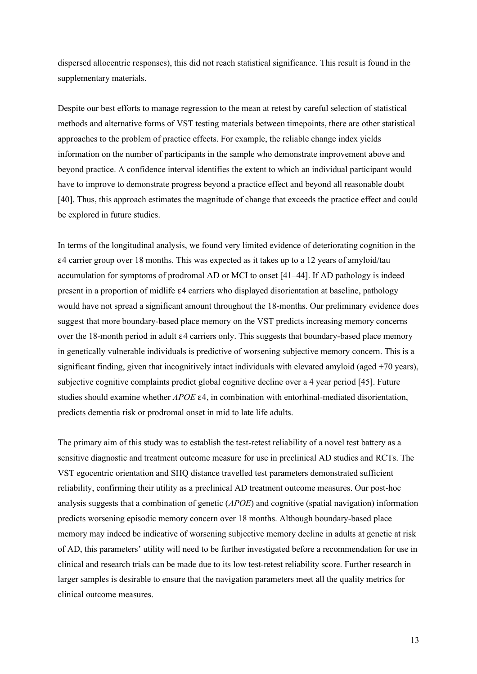dispersed allocentric responses), this did not reach statistical significance. This result is found in the supplementary materials.

Despite our best efforts to manage regression to the mean at retest by careful selection of statistical methods and alternative forms of VST testing materials between timepoints, there are other statistical approaches to the problem of practice effects. For example, the reliable change index yields information on the number of participants in the sample who demonstrate improvement above and beyond practice. A confidence interval identifies the extent to which an individual participant would have to improve to demonstrate progress beyond a practice effect and beyond all reasonable doubt [40]. Thus, this approach estimates the magnitude of change that exceeds the practice effect and could be explored in future studies.

In terms of the longitudinal analysis, we found very limited evidence of deteriorating cognition in the ε4 carrier group over 18 months. This was expected as it takes up to a 12 years of amyloid/tau accumulation for symptoms of prodromal AD or MCI to onset [41–44]. If AD pathology is indeed present in a proportion of midlife ε4 carriers who displayed disorientation at baseline, pathology would have not spread a significant amount throughout the 18-months. Our preliminary evidence does suggest that more boundary-based place memory on the VST predicts increasing memory concerns over the 18-month period in adult  $\varepsilon$ 4 carriers only. This suggests that boundary-based place memory in genetically vulnerable individuals is predictive of worsening subjective memory concern. This is a significant finding, given that incognitively intact individuals with elevated amyloid (aged  $+70$  years), subjective cognitive complaints predict global cognitive decline over a 4 year period [45]. Future studies should examine whether *APOE* ε4, in combination with entorhinal-mediated disorientation, predicts dementia risk or prodromal onset in mid to late life adults.

The primary aim of this study was to establish the test-retest reliability of a novel test battery as a sensitive diagnostic and treatment outcome measure for use in preclinical AD studies and RCTs. The VST egocentric orientation and SHQ distance travelled test parameters demonstrated sufficient reliability, confirming their utility as a preclinical AD treatment outcome measures. Our post-hoc analysis suggests that a combination of genetic (*APOE*) and cognitive (spatial navigation) information predicts worsening episodic memory concern over 18 months. Although boundary-based place memory may indeed be indicative of worsening subjective memory decline in adults at genetic at risk of AD, this parameters' utility will need to be further investigated before a recommendation for use in clinical and research trials can be made due to its low test-retest reliability score. Further research in larger samples is desirable to ensure that the navigation parameters meet all the quality metrics for clinical outcome measures.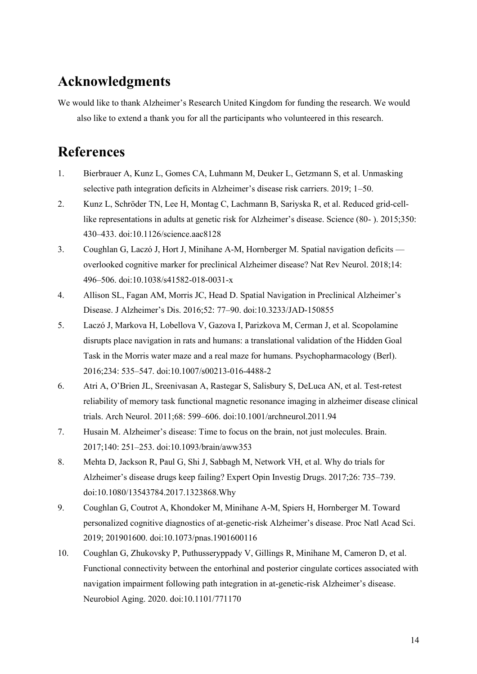# **Acknowledgments**

We would like to thank Alzheimer's Research United Kingdom for funding the research. We would also like to extend a thank you for all the participants who volunteered in this research.

# **References**

- 1. Bierbrauer A, Kunz L, Gomes CA, Luhmann M, Deuker L, Getzmann S, et al. Unmasking selective path integration deficits in Alzheimer's disease risk carriers. 2019; 1–50.
- 2. Kunz L, Schröder TN, Lee H, Montag C, Lachmann B, Sariyska R, et al. Reduced grid-celllike representations in adults at genetic risk for Alzheimer's disease. Science (80- ). 2015;350: 430–433. doi:10.1126/science.aac8128
- 3. Coughlan G, Laczó J, Hort J, Minihane A-M, Hornberger M. Spatial navigation deficits overlooked cognitive marker for preclinical Alzheimer disease? Nat Rev Neurol. 2018;14: 496–506. doi:10.1038/s41582-018-0031-x
- 4. Allison SL, Fagan AM, Morris JC, Head D. Spatial Navigation in Preclinical Alzheimer's Disease. J Alzheimer's Dis. 2016;52: 77–90. doi:10.3233/JAD-150855
- 5. Laczó J, Markova H, Lobellova V, Gazova I, Parizkova M, Cerman J, et al. Scopolamine disrupts place navigation in rats and humans: a translational validation of the Hidden Goal Task in the Morris water maze and a real maze for humans. Psychopharmacology (Berl). 2016;234: 535–547. doi:10.1007/s00213-016-4488-2
- 6. Atri A, O'Brien JL, Sreenivasan A, Rastegar S, Salisbury S, DeLuca AN, et al. Test-retest reliability of memory task functional magnetic resonance imaging in alzheimer disease clinical trials. Arch Neurol. 2011;68: 599–606. doi:10.1001/archneurol.2011.94
- 7. Husain M. Alzheimer's disease: Time to focus on the brain, not just molecules. Brain. 2017;140: 251–253. doi:10.1093/brain/aww353
- 8. Mehta D, Jackson R, Paul G, Shi J, Sabbagh M, Network VH, et al. Why do trials for Alzheimer's disease drugs keep failing? Expert Opin Investig Drugs. 2017;26: 735–739. doi:10.1080/13543784.2017.1323868.Why
- 9. Coughlan G, Coutrot A, Khondoker M, Minihane A-M, Spiers H, Hornberger M. Toward personalized cognitive diagnostics of at-genetic-risk Alzheimer's disease. Proc Natl Acad Sci. 2019; 201901600. doi:10.1073/pnas.1901600116
- 10. Coughlan G, Zhukovsky P, Puthusseryppady V, Gillings R, Minihane M, Cameron D, et al. Functional connectivity between the entorhinal and posterior cingulate cortices associated with navigation impairment following path integration in at-genetic-risk Alzheimer's disease. Neurobiol Aging. 2020. doi:10.1101/771170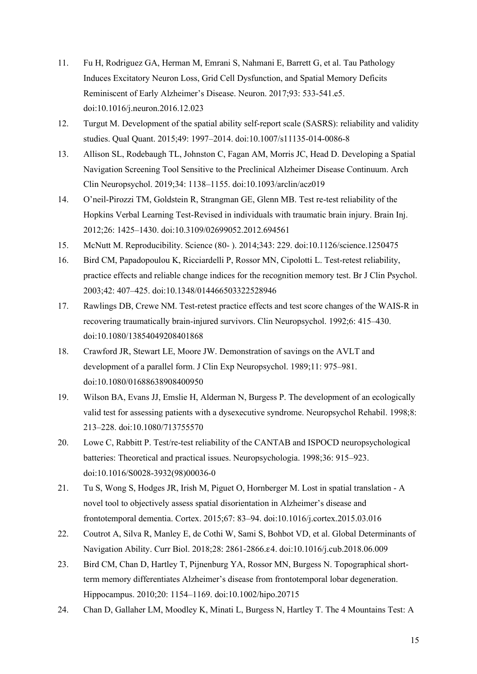- 11. Fu H, Rodriguez GA, Herman M, Emrani S, Nahmani E, Barrett G, et al. Tau Pathology Induces Excitatory Neuron Loss, Grid Cell Dysfunction, and Spatial Memory Deficits Reminiscent of Early Alzheimer's Disease. Neuron. 2017;93: 533-541.e5. doi:10.1016/j.neuron.2016.12.023
- 12. Turgut M. Development of the spatial ability self-report scale (SASRS): reliability and validity studies. Qual Quant. 2015;49: 1997–2014. doi:10.1007/s11135-014-0086-8
- 13. Allison SL, Rodebaugh TL, Johnston C, Fagan AM, Morris JC, Head D. Developing a Spatial Navigation Screening Tool Sensitive to the Preclinical Alzheimer Disease Continuum. Arch Clin Neuropsychol. 2019;34: 1138–1155. doi:10.1093/arclin/acz019
- 14. O'neil-Pirozzi TM, Goldstein R, Strangman GE, Glenn MB. Test re-test reliability of the Hopkins Verbal Learning Test-Revised in individuals with traumatic brain injury. Brain Inj. 2012;26: 1425–1430. doi:10.3109/02699052.2012.694561
- 15. McNutt M. Reproducibility. Science (80- ). 2014;343: 229. doi:10.1126/science.1250475
- 16. Bird CM, Papadopoulou K, Ricciardelli P, Rossor MN, Cipolotti L. Test-retest reliability, practice effects and reliable change indices for the recognition memory test. Br J Clin Psychol. 2003;42: 407–425. doi:10.1348/014466503322528946
- 17. Rawlings DB, Crewe NM. Test-retest practice effects and test score changes of the WAIS-R in recovering traumatically brain-injured survivors. Clin Neuropsychol. 1992;6: 415–430. doi:10.1080/13854049208401868
- 18. Crawford JR, Stewart LE, Moore JW. Demonstration of savings on the AVLT and development of a parallel form. J Clin Exp Neuropsychol. 1989;11: 975–981. doi:10.1080/01688638908400950
- 19. Wilson BA, Evans JJ, Emslie H, Alderman N, Burgess P. The development of an ecologically valid test for assessing patients with a dysexecutive syndrome. Neuropsychol Rehabil. 1998;8: 213–228. doi:10.1080/713755570
- 20. Lowe C, Rabbitt P. Test/re-test reliability of the CANTAB and ISPOCD neuropsychological batteries: Theoretical and practical issues. Neuropsychologia. 1998;36: 915–923. doi:10.1016/S0028-3932(98)00036-0
- 21. Tu S, Wong S, Hodges JR, Irish M, Piguet O, Hornberger M. Lost in spatial translation A novel tool to objectively assess spatial disorientation in Alzheimer's disease and frontotemporal dementia. Cortex. 2015;67: 83–94. doi:10.1016/j.cortex.2015.03.016
- 22. Coutrot A, Silva R, Manley E, de Cothi W, Sami S, Bohbot VD, et al. Global Determinants of Navigation Ability. Curr Biol. 2018;28: 2861-2866.ε4. doi:10.1016/j.cub.2018.06.009
- 23. Bird CM, Chan D, Hartley T, Pijnenburg YA, Rossor MN, Burgess N. Topographical shortterm memory differentiates Alzheimer's disease from frontotemporal lobar degeneration. Hippocampus. 2010;20: 1154–1169. doi:10.1002/hipo.20715
- 24. Chan D, Gallaher LM, Moodley K, Minati L, Burgess N, Hartley T. The 4 Mountains Test: A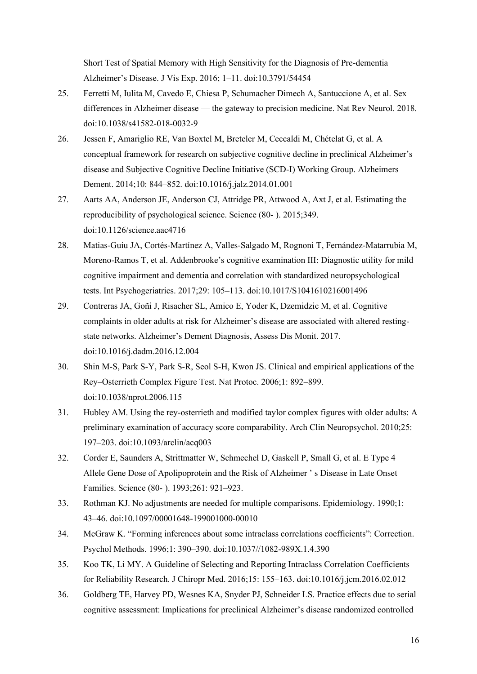Short Test of Spatial Memory with High Sensitivity for the Diagnosis of Pre-dementia Alzheimer's Disease. J Vis Exp. 2016; 1–11. doi:10.3791/54454

- 25. Ferretti M, Iulita M, Cavedo E, Chiesa P, Schumacher Dimech A, Santuccione A, et al. Sex differences in Alzheimer disease — the gateway to precision medicine. Nat Rev Neurol. 2018. doi:10.1038/s41582-018-0032-9
- 26. Jessen F, Amariglio RE, Van Boxtel M, Breteler M, Ceccaldi M, Chételat G, et al. A conceptual framework for research on subjective cognitive decline in preclinical Alzheimer's disease and Subjective Cognitive Decline Initiative (SCD-I) Working Group. Alzheimers Dement. 2014;10: 844–852. doi:10.1016/j.jalz.2014.01.001
- 27. Aarts AA, Anderson JE, Anderson CJ, Attridge PR, Attwood A, Axt J, et al. Estimating the reproducibility of psychological science. Science (80- ). 2015;349. doi:10.1126/science.aac4716
- 28. Matias-Guiu JA, Cortés-Martínez A, Valles-Salgado M, Rognoni T, Fernández-Matarrubia M, Moreno-Ramos T, et al. Addenbrooke's cognitive examination III: Diagnostic utility for mild cognitive impairment and dementia and correlation with standardized neuropsychological tests. Int Psychogeriatrics. 2017;29: 105–113. doi:10.1017/S1041610216001496
- 29. Contreras JA, Goñi J, Risacher SL, Amico E, Yoder K, Dzemidzic M, et al. Cognitive complaints in older adults at risk for Alzheimer's disease are associated with altered restingstate networks. Alzheimer's Dement Diagnosis, Assess Dis Monit. 2017. doi:10.1016/j.dadm.2016.12.004
- 30. Shin M-S, Park S-Y, Park S-R, Seol S-H, Kwon JS. Clinical and empirical applications of the Rey–Osterrieth Complex Figure Test. Nat Protoc. 2006;1: 892–899. doi:10.1038/nprot.2006.115
- 31. Hubley AM. Using the rey-osterrieth and modified taylor complex figures with older adults: A preliminary examination of accuracy score comparability. Arch Clin Neuropsychol. 2010;25: 197–203. doi:10.1093/arclin/acq003
- 32. Corder E, Saunders A, Strittmatter W, Schmechel D, Gaskell P, Small G, et al. E Type 4 Allele Gene Dose of Apolipoprotein and the Risk of Alzheimer ' s Disease in Late Onset Families. Science (80- ). 1993;261: 921–923.
- 33. Rothman KJ. No adjustments are needed for multiple comparisons. Epidemiology. 1990;1: 43–46. doi:10.1097/00001648-199001000-00010
- 34. McGraw K. "Forming inferences about some intraclass correlations coefficients": Correction. Psychol Methods. 1996;1: 390–390. doi:10.1037//1082-989X.1.4.390
- 35. Koo TK, Li MY. A Guideline of Selecting and Reporting Intraclass Correlation Coefficients for Reliability Research. J Chiropr Med. 2016;15: 155–163. doi:10.1016/j.jcm.2016.02.012
- 36. Goldberg TE, Harvey PD, Wesnes KA, Snyder PJ, Schneider LS. Practice effects due to serial cognitive assessment: Implications for preclinical Alzheimer's disease randomized controlled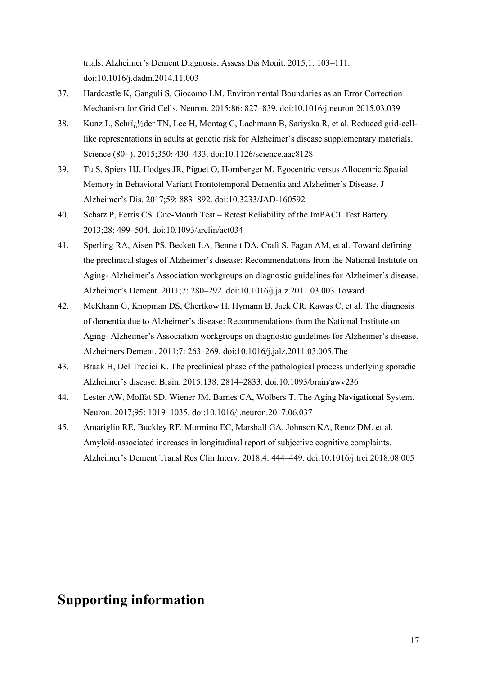trials. Alzheimer's Dement Diagnosis, Assess Dis Monit. 2015;1: 103–111. doi:10.1016/j.dadm.2014.11.003

- 37. Hardcastle K, Ganguli S, Giocomo LM. Environmental Boundaries as an Error Correction Mechanism for Grid Cells. Neuron. 2015;86: 827–839. doi:10.1016/j.neuron.2015.03.039
- 38. Kunz L, Schrï<sub>d</sub>1/2der TN, Lee H, Montag C, Lachmann B, Sariyska R, et al. Reduced grid-celllike representations in adults at genetic risk for Alzheimer's disease supplementary materials. Science (80- ). 2015;350: 430–433. doi:10.1126/science.aac8128
- 39. Tu S, Spiers HJ, Hodges JR, Piguet O, Hornberger M. Egocentric versus Allocentric Spatial Memory in Behavioral Variant Frontotemporal Dementia and Alzheimer's Disease. J Alzheimer's Dis. 2017;59: 883–892. doi:10.3233/JAD-160592
- 40. Schatz P, Ferris CS. One-Month Test Retest Reliability of the ImPACT Test Battery. 2013;28: 499–504. doi:10.1093/arclin/act034
- 41. Sperling RA, Aisen PS, Beckett LA, Bennett DA, Craft S, Fagan AM, et al. Toward defining the preclinical stages of Alzheimer's disease: Recommendations from the National Institute on Aging- Alzheimer's Association workgroups on diagnostic guidelines for Alzheimer's disease. Alzheimer's Dement. 2011;7: 280–292. doi:10.1016/j.jalz.2011.03.003.Toward
- 42. McKhann G, Knopman DS, Chertkow H, Hymann B, Jack CR, Kawas C, et al. The diagnosis of dementia due to Alzheimer's disease: Recommendations from the National Institute on Aging- Alzheimer's Association workgroups on diagnostic guidelines for Alzheimer's disease. Alzheimers Dement. 2011;7: 263–269. doi:10.1016/j.jalz.2011.03.005.The
- 43. Braak H, Del Tredici K. The preclinical phase of the pathological process underlying sporadic Alzheimer's disease. Brain. 2015;138: 2814–2833. doi:10.1093/brain/awv236
- 44. Lester AW, Moffat SD, Wiener JM, Barnes CA, Wolbers T. The Aging Navigational System. Neuron. 2017;95: 1019–1035. doi:10.1016/j.neuron.2017.06.037
- 45. Amariglio RE, Buckley RF, Mormino EC, Marshall GA, Johnson KA, Rentz DM, et al. Amyloid-associated increases in longitudinal report of subjective cognitive complaints. Alzheimer's Dement Transl Res Clin Interv. 2018;4: 444–449. doi:10.1016/j.trci.2018.08.005

# **Supporting information**